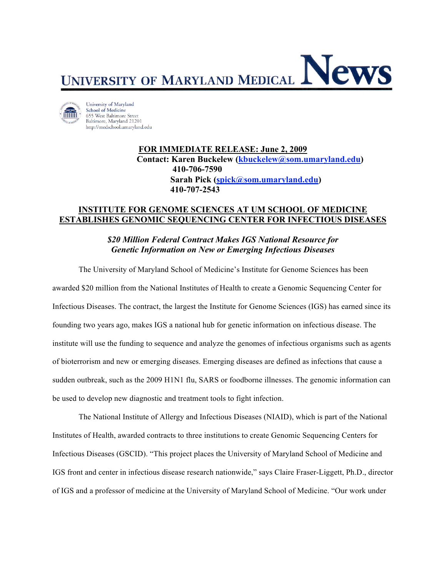

University of Maryland School of Medicine 655 West Baltimore Street Baltimore, Maryland 21201 http://medschool.umaryland.edu

> **FOR IMMEDIATE RELEASE: June 2, 2009 Contact: Karen Buckelew (kbuckelew@som.umaryland.edu) 410-706-7590 Sarah Pick (spick@som.umaryland.edu) 410-707-2543**

## **INSTITUTE FOR GENOME SCIENCES AT UM SCHOOL OF MEDICINE ESTABLISHES GENOMIC SEQUENCING CENTER FOR INFECTIOUS DISEASES**

## *\$20 Million Federal Contract Makes IGS National Resource for Genetic Information on New or Emerging Infectious Diseases*

The University of Maryland School of Medicine's Institute for Genome Sciences has been awarded \$20 million from the National Institutes of Health to create a Genomic Sequencing Center for Infectious Diseases. The contract, the largest the Institute for Genome Sciences (IGS) has earned since its founding two years ago, makes IGS a national hub for genetic information on infectious disease. The institute will use the funding to sequence and analyze the genomes of infectious organisms such as agents of bioterrorism and new or emerging diseases. Emerging diseases are defined as infections that cause a sudden outbreak, such as the 2009 H1N1 flu, SARS or foodborne illnesses. The genomic information can be used to develop new diagnostic and treatment tools to fight infection.

The National Institute of Allergy and Infectious Diseases (NIAID), which is part of the National Institutes of Health, awarded contracts to three institutions to create Genomic Sequencing Centers for Infectious Diseases (GSCID). "This project places the University of Maryland School of Medicine and IGS front and center in infectious disease research nationwide," says Claire Fraser-Liggett, Ph.D., director of IGS and a professor of medicine at the University of Maryland School of Medicine. "Our work under